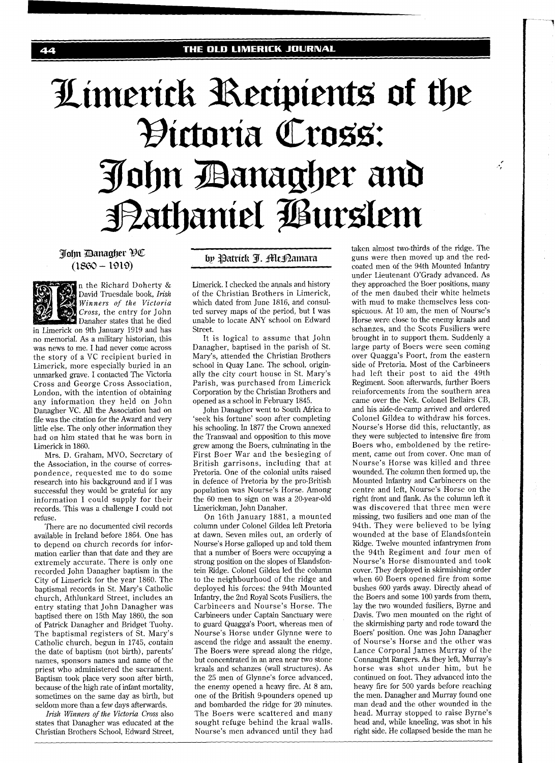## Limerick Recipients of the Hictoria Cross: John Banagher and Bathaniel Burslem

## Tohn Banagher HC  $(1860 - 1919)$

n the Richard Doherty &

by Patrick I. Alc Pamara



Mrs. D. Graham, MVO, Secretary of the Association, in the course of correspondence, requested me to do some research into his background and if I was successful they would be grateful for any information I could supply for their records. This was a challenge I could not refuse.

There are no documented civil records available in Ireland before 1864. One has to depend on church records for information earlier than that date and they are extremely accurate. There is only one recorded John Danagher baptism in the City of Limerick for the year 1860. The baptismal records in St. Mary's Catholic church, Athlunkard Street, includes an entry stating that John Danagher was baptised there on 15th May 1860, the son of Patrick Danagher and Bridget Tuohy. The baptismal registers of St. Mary's Catholic church, begun in 1745, contain the date of baptism (not birth), parents' names, sponsors names and name of the priest who administered the sacrament. Baptism took place very soon after birth, because of the high rate of infant mortality, sometimes on the same day as birth, but seldom more than a few days afterwards.

**Zkk** *Winners* of *the Victoria Cross* also states that Danagher was educated at the Christian Brothers School, Edward Street, Limerick. I checked the annals and history of the Christian Brothers in Limerick, which dated from June 1816, and consulted survey maps of the period, but 1 was unable to locate ANY school on Edward Street.

It is logical to assume that John Danagher, baptised in the parish of St. Mary's, attended the Christian Brothers school in Quay Lane. The school, originally the city court house in St. Mary's Parish, was purchased from Limerick Corporation by the Christian Brothers and opened as a school in February 1845.

John Danagher went to South Africa to 'seek his fortune' soon after completing his schooling. In 1877 the Crown annexed the Transvaal and opposition to this move grew among the Boers, culminating in the First Boer War and the besieging of British garrisons, including that at Pretoria. One of the colonial units raised in defence of Pretoria by the pro-British population was Nourse's Horse. Among the 60 men to sign on was a 20-year-old Limerickman, John Danaher.

On 16th January 1881, a mounted column under Colonel Gildea left Pretoria at dawn. Seven miles out, an orderly of Nourse's Horse galloped up and told them that a number of Boers were occupying a strong position on the slopes of Elandsfontein Ridge. Colonel Gildea led the column to the neighbourhood of the ridge and deployed his forces: the 94th Mounted Infantry, the 2nd Royal Scots Fusiliers, the Carbineers and Nourse's Horse. The Carbineers under Captain Sanctuary were to guard Quagga's Poort, whereas men of Nourse's Horse under Glynne were to ascend the ridge and assault the enemy. The Boers were spread along the ridge, but concentrated in an area near two stone kraals and schanzes (wall structures). As the 25 men of Glynne's force advanced, the enemy opened a heavy fire. At 8 am, one of the British 9-pounders opened up and bombarded the ridge for 20 minutes. The Boers were scattered and many sought refuge behind the kraal walls. Nourse's men advanced until they had taken almost two-thirds of the ridge. The guns were then moved up and the redcoated men of the 94th Mounted Infantry under Lieutenant O'Grady advanced. As they approached the Boer positions, many of the men daubed their white helmets with mud to make themselves less conspicuous. At 10 am, the men of Nourse's Horse were close to the enemy kraals and schanzes, and the Scots Fusiliers were brought in to support them. Suddenly a large party of Boers were seen coming over Quagga's Poort, from the eastern side of Pretoria. Most of the Carbineers had left their post to aid the 49th Regiment. Soon afterwards, further Boers reinforcements from the southern area came over the Nek. Colonel Bellairs CB, and his aide-de-camp arrived and ordered Colonel Gildea to withdraw his forces. Nourse's Horse did this, reluctantly, as they were subjected to intensive fire from Boers who, emboldened by the retirement, came out from cover. One man of Nourse's Horse was killed and three wounded. The column then formed up, the Mounted Infantry and Carbineers on the centre and left, Nourse's Horse on the right front and flank. As the column left it was discovered that three men were missing, two fusiliers and one man of the 94th. They were believed to be lying wounded at the base of Elandsfontein Ridge. Twelve mounted infantrymen from the 94th Regiment and four men of Nourse's Horse dismounted and took cover. They deployed in skirmishing order when 60 Boers opened fire from some bushes 600 yards away. Directly ahead of the Boers and some 100 yards from them, lay the two wounded fusiliers, Byrne and Davis. Two men mounted on the right of the skirmishing party and rode toward the Boers' position. One was John Danagher of Nourse's Horse and the other was Lance Corporal James Murray of the Connaught Rangers. As they left, Murray's horse was shot under him, but he continued on foot. They advanced into the heavy fire for 500 yards before reaching the men. Danagher and Murray found one man dead and the other wounded in the head. Murray stopped to raise Byrne's head and, while kneeling, was shot in his right side. He collapsed beside the man he

 $\mathcal{L}$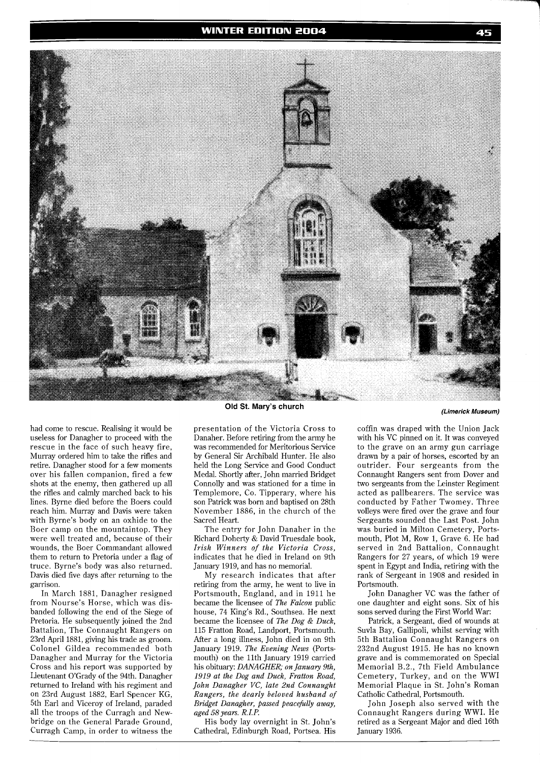

had come to rescue. Realising it would be useless for Danagher to proceed with the rescue in the face of such heavy fire, Murray ordered him to take the rifles and retire. Danagher stood for a few moments over his fallen companion, fired a few shots at the enemy, then gathered up all the rifles and calmly marched back to his lines. Byrne died before the Boers could reach him. Murray and Davis were taken with Byrne's body on an oxhide to the Boer camp on the mountaintop. They were well treated and, because of their wounds, the Boer Commandant allowed them to return to Pretoria under a flag of truce. Byrne's body was also returned. Davis died five days after returning to the garrison.

In March 1881, Danagher resigned from Nourse's Horse, which was disbanded following the end of the Siege of Pretoria. He subsequently joined the 2nd Battalion, The Connaught Rangers on 23rd April 1881, giving his trade as groom. Colonel Gildea recommended both Danagher and Murray for the Victoria Cross and his report was supported by Lieutenant O'Grady of the 94th. Danagher returned to Ireland with his regiment and on 23rd August 1882, Earl Spencer KG, 5th Earl and Viceroy of Ireland, paraded all the troops of the Curragh and Newbridge on the General Parade Ground, Curragh Camp, in order to witness the **Old St. Mary's church** 

presentation of the Victoria Cross to Danaher. Before retiring from the army he was recommended for Meritorious Service by General Sir Archibald Hunter. He also held the Long Service and Good Conduct Medal. Shortly after, John married Bridget Connolly and was stationed for a time in Templemore, Co. Tipperary, where his son Patrick was born and baptised on 28th November 1886, in the church of the Sacred Heart.

The entry for John Danaher in the Richard Doherty & David Truesdale book, *Irish Winners of the Victoria Cross,*  indicates that he died in Ireland on 9th January 1919, and has no memorial.

My research indicates that after retiring from the army, he went to live in Portsmouth, England, and in 1911 he became the licensee of *The Falcon* public house, 74 King's Rd., Southsea. He next became the licensee of *The Dog* & *Duck,*  115 Fratton Road, Landport, Portsmouth. After a long illness, John died in on 9th January 1919. *The Evening News* (Portsmouth) on the 11th January 1919 carried his obituary: *DANAGHER;* on *January 9th, 1919 at the Dog and Duck, Fratton Road, John Danagher VC, late 2nd Connaught Rangers, the dearly beloved husband of Bridget Danagher, passed peacefilly away, aged 58 years. R. I. P.* 

His body lay overnight in St. John's Cathedral, Edinburgh Road, Portsea. His coffin was draped with the Union Jack with his VC pinned on it. It was conveyed to the grave on an army gun carriage drawn by a pair of horses, escorted by an outrider. Four sergeants from the Connaught Rangers sent from Dover and two sergeants from the Leinster Regiment acted as pallbearers. The service was conducted by Father Twomey. Three volleys were fired over the grave and four Sergeants sounded the Last Post. John was buried in Milton Cemetery, Portsmouth, Plot M, Row 1, Grave 6. He had served in 2nd Battalion, Connaught Rangers for 27 years, of which 19 were spent in Egypt and India, retiring with the rank of Sergeant in 1908 and resided in Portsmouth.

John Danagher VC was the father of one daughter and eight sons. Six of his sons sewed during the First World War:

Patrick, a Sergeant, died of wounds at Suvla Bay, Gallipoli, whilst serving with 5th Battalion Connaught Rangers on 232nd August 1915. He has no known grave and is commemorated on Special Memorial B.2., 7th Field Ambulance Cemetery, Turkey, and on the WWI Memorial Plaque in St. John's Roman Catholic Cathedral, Portsmouth.

John Joseph also served with the Connaught Rangers during WWI. He retired as a Sergeant Major and died 16th January 1936.

**(Limerick Museum)**